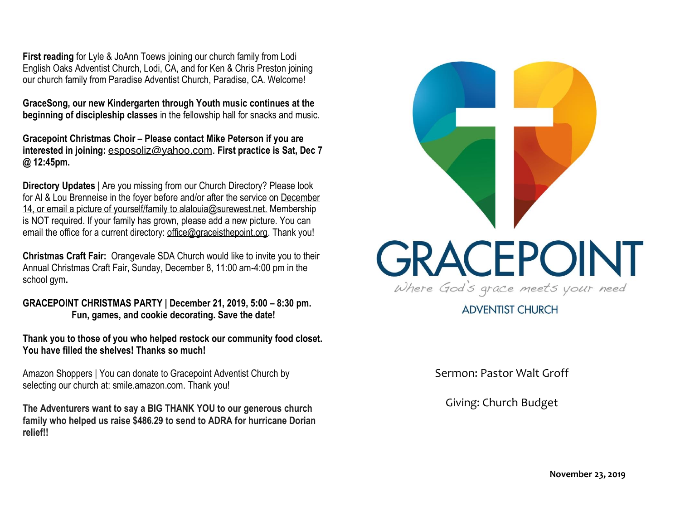**First reading** for Lyle & JoAnn Toews joining our church family from Lodi English Oaks Adventist Church, Lodi, CA, and for Ken & Chris Preston joining our church family from Paradise Adventist Church, Paradise, CA. Welcome!

**GraceSong, our new Kindergarten through Youth music continues at the beginning of discipleship classes** in the fellowship hall for snacks and music.

**Gracepoint Christmas Choir – Please contact Mike Peterson if you are interested in joining:** [esposoliz@yahoo.com.](mailto:esposoliz@yahoo.com) **First practice is Sat, Dec 7 @ 12:45pm.**

**Directory Updates** | Are you missing from our Church Directory? Please look for Al & Lou Brenneise in the foyer before and/or after the service on December 14, or email a picture of yourself/family to alalouia@surewest.net. Membership is NOT required. If your family has grown, please add a new picture. You can email the office for a current directory: [office@graceisthepoint.org.](mailto:office@graceisthepoint.org) Thank you!

**Christmas Craft Fair:** Orangevale SDA Church would like to invite you to their Annual Christmas Craft Fair, Sunday, December 8, 11:00 am-4:00 pm in the school gym**.**

**GRACEPOINT CHRISTMAS PARTY | December 21, 2019, 5:00 – 8:30 pm. Fun, games, and cookie decorating. Save the date!**

**Thank you to those of you who helped restock our community food closet. You have filled the shelves! Thanks so much!**

Amazon Shoppers | You can donate to Gracepoint Adventist Church by selecting our church at: smile.amazon.com. Thank you!

**The Adventurers want to say a BIG THANK YOU to our generous church family who helped us raise \$486.29 to send to ADRA for hurricane Dorian relief!!**



**ADVENTIST CHURCH** 

Sermon: Pastor Walt Groff

Giving: Church Budget

**November 23, 2019**